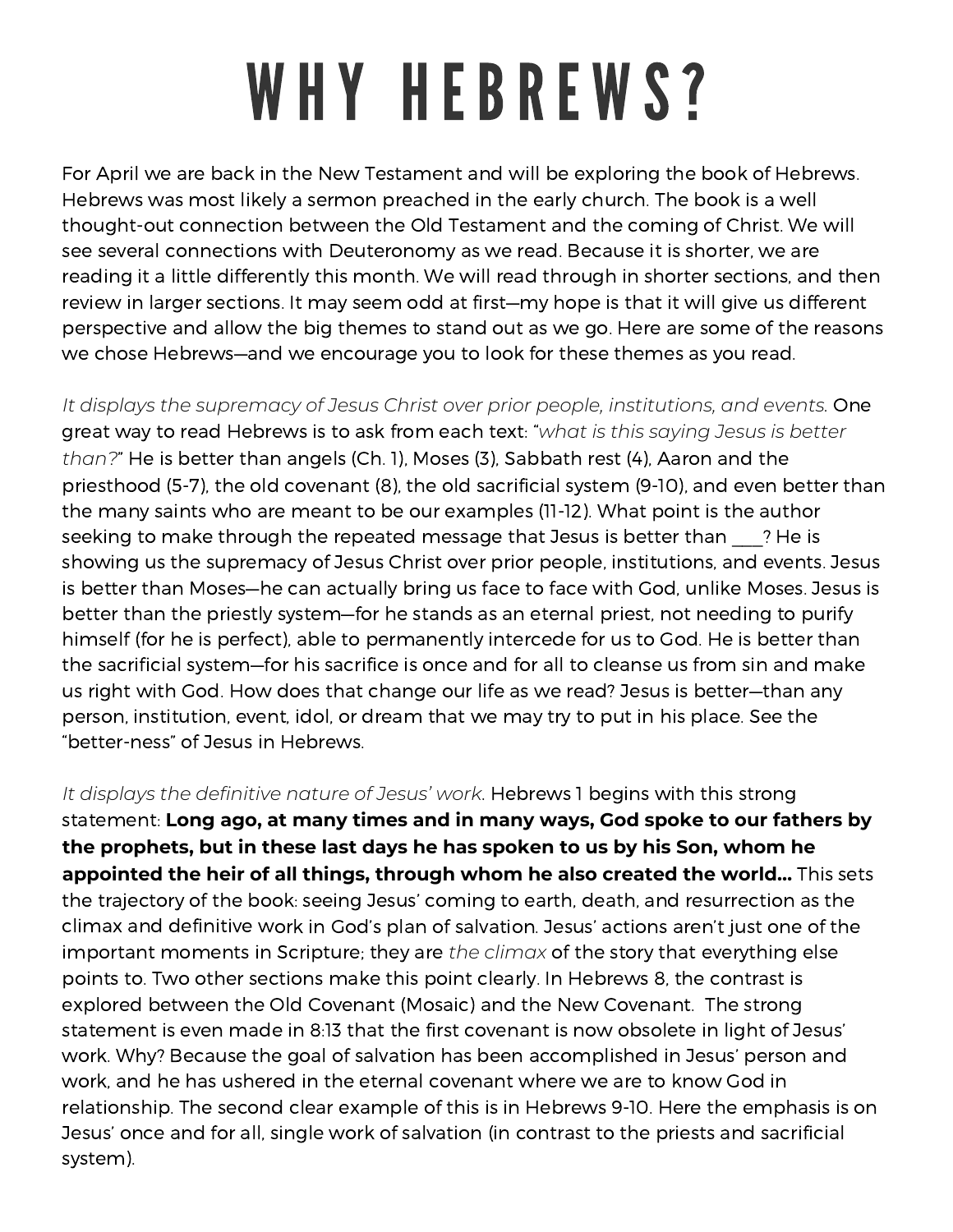## WHY HEBREWS?

For April we are back in the New Testament and will be exploring the book of Hebrews. Hebrews was most likely <sup>a</sup> sermon preached in the early church. The book is <sup>a</sup> well thought-out connection between the Old Testament and the coming of Christ. We will see several connections with Deuteronomy as we read. Because it is shorter, we are reading it <sup>a</sup> little differently this month. We will read through in shorter sections, and then review in larger sections. It may seem odd at first—my hope is that it will give us different perspective and allow the big themes to stand out as we go. Here are some of the reasons we chose Hebrews—and we encourage you to look for these themes as you read.

*It displays the supremacy of Jesus Christ over prior people, institutions, and events.* One great way to read Hebrews is to ask from each text: "*what is this saying Jesus is better than?*" He is better than angels (Ch. 1), Moses (3), Sabbath rest (4), Aaron and the priesthood (5-7), the old covenant (8), the old sacrificial system (9-10), and even better than the many saints who are meant to be our examples (11-12). What point is the author seeking to make through the repeated message that Jesus is better than  $\frac{1}{2}$  He is showing us the supremacy of Jesus Christ over prior people, institutions, and events. Jesus is better than Moses—he can actually bring us face to face with God, unlike Moses. Jesus is better than the priestly system—for he stands as an eternal priest, not needing to purify himself (for he is perfect), able to permanently intercede for us to God. He is better than the sacrificial system—for his sacrifice is once and for all to cleanse us from sin and make us right with God. How does that change our life as we read? Jesus is better—than any person, institution, event, idol, or dream that we may try to put in his place. See the "better-ness" of Jesus in Hebrews.

*It displays the definitive nature of Jesus' work*. Hebrews 1 begins with this strong statement: **Long ago, at many times and in many ways, God spoke to our fathers by the prophets, but in these last days he has spoken to us by his Son, whom he appointed the heir of all things, through whom he also created the world…** This sets the trajectory of the book: seeing Jesus' coming to earth, death, and resurrection as the climax and definitive work in God's plan of salvation. Jesus' actions aren't just one of the important moments in Scripture; they are *the climax* of the story that everything else points to. Two other sections make this point clearly. In Hebrews 8, the contrast is explored between the Old Covenant (Mosaic) and the New Covenant. The strong statement is even made in 8:13 that the first covenant is now obsolete in light of Jesus' work. Why? Because the goal of salvation has been accomplished in Jesus' person and work, and he has ushered in the eternal covenant where we are to know God in relationship. The second clear example of this is in Hebrews 9-10. Here the emphasis is on Jesus' once and for all, single work of salvation (in contrast to the priests and sacrificial system).